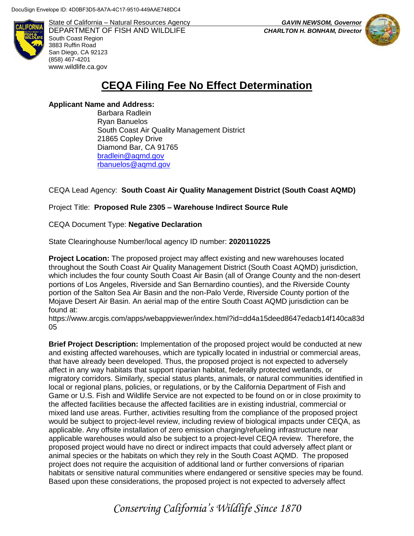

State of California – Natural Resources Agency *GAVIN NEWSOM, Governor* DEPARTMENT OF FISH AND WILDLIFE *CHARLTON H. BONHAM, Director*  South Coast Region 3883 Ruffin Road San Diego, CA 92123 (858) 467-4201 [www.wildlife.ca.gov](http://www.wildlife.ca.gov/)



# **CEQA Filing Fee No Effect Determination**

## **Applicant Name and Address:**

Barbara Radlein Ryan Banuelos South Coast Air Quality Management District 21865 Copley Drive Diamond Bar, CA 91765 [bradlein@aqmd.gov](mailto:bradlein@aqmd.gov) [rbanuelos@aqmd.gov](mailto:rbanuelos@aqmd.gov)

# CEQA Lead Agency: **South Coast Air Quality Management District (South Coast AQMD)**

# Project Title: **Proposed Rule 2305 – Warehouse Indirect Source Rule**

## CEQA Document Type: **Negative Declaration**

## State Clearinghouse Number/local agency ID number: **2020110225**

**Project Location:** The proposed project may affect existing and new warehouses located throughout the South Coast Air Quality Management District (South Coast AQMD) jurisdiction, which includes the four county South Coast Air Basin (all of Orange County and the non-desert portions of Los Angeles, Riverside and San Bernardino counties), and the Riverside County portion of the Salton Sea Air Basin and the non-Palo Verde, Riverside County portion of the Mojave Desert Air Basin. An aerial map of the entire South Coast AQMD jurisdiction can be found at:

https://www.arcgis.com/apps/webappviewer/index.html?id=dd4a15deed8647edacb14f140ca83d 05

**Brief Project Description:** Implementation of the proposed project would be conducted at new and existing affected warehouses, which are typically located in industrial or commercial areas, that have already been developed. Thus, the proposed project is not expected to adversely affect in any way habitats that support riparian habitat, federally protected wetlands, or migratory corridors. Similarly, special status plants, animals, or natural communities identified in local or regional plans, policies, or regulations, or by the California Department of Fish and Game or U.S. Fish and Wildlife Service are not expected to be found on or in close proximity to the affected facilities because the affected facilities are in existing industrial, commercial or mixed land use areas. Further, activities resulting from the compliance of the proposed project would be subject to project-level review, including review of biological impacts under CEQA, as applicable. Any offsite installation of zero emission charging/refueling infrastructure near applicable warehouses would also be subject to a project-level CEQA review. Therefore, the proposed project would have no direct or indirect impacts that could adversely affect plant or animal species or the habitats on which they rely in the South Coast AQMD. The proposed project does not require the acquisition of additional land or further conversions of riparian habitats or sensitive natural communities where endangered or sensitive species may be found. Based upon these considerations, the proposed project is not expected to adversely affect

*Conserving California's Wildlife Since 1870*